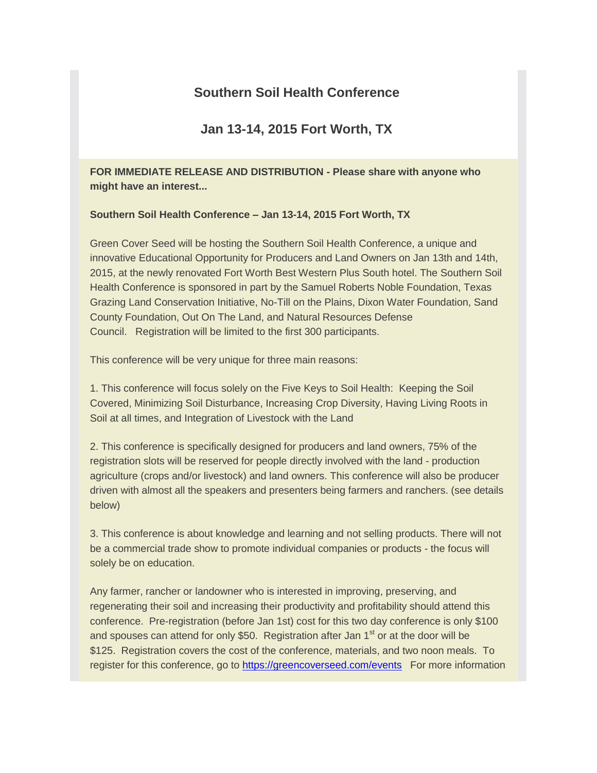# **Southern Soil Health Conference**

# **Jan 13-14, 2015 Fort Worth, TX**

**FOR IMMEDIATE RELEASE AND DISTRIBUTION - Please share with anyone who might have an interest...**

### **Southern Soil Health Conference – Jan 13-14, 2015 Fort Worth, TX**

Green Cover Seed will be hosting the Southern Soil Health Conference, a unique and innovative Educational Opportunity for Producers and Land Owners on Jan 13th and 14th, 2015, at the newly renovated Fort Worth Best Western Plus South hotel. The Southern Soil Health Conference is sponsored in part by the Samuel Roberts Noble Foundation, Texas Grazing Land Conservation Initiative, No-Till on the Plains, Dixon Water Foundation, Sand County Foundation, Out On The Land, and Natural Resources Defense Council. Registration will be limited to the first 300 participants.

This conference will be very unique for three main reasons:

1. This conference will focus solely on the Five Keys to Soil Health: Keeping the Soil Covered, Minimizing Soil Disturbance, Increasing Crop Diversity, Having Living Roots in Soil at all times, and Integration of Livestock with the Land

2. This conference is specifically designed for producers and land owners, 75% of the registration slots will be reserved for people directly involved with the land - production agriculture (crops and/or livestock) and land owners. This conference will also be producer driven with almost all the speakers and presenters being farmers and ranchers. (see details below)

3. This conference is about knowledge and learning and not selling products. There will not be a commercial trade show to promote individual companies or products - the focus will solely be on education.

Any farmer, rancher or landowner who is interested in improving, preserving, and regenerating their soil and increasing their productivity and profitability should attend this conference. Pre-registration (before Jan 1st) cost for this two day conference is only \$100 and spouses can attend for only \$50. Registration after Jan  $1<sup>st</sup>$  or at the door will be \$125. Registration covers the cost of the conference, materials, and two noon meals. To register for this conference, go to [https://greencoverseed.com/events](http://greencoverseed.bmetrack.com/c/l?u=4A40091&e=5D4BE5&c=61D6C&t=0&l=3D278E4&email=xJ%2BFunQBAn4p%2BSZfqnRVyKMuTKEwIOm4NyIeD9VsXLU%3D) For more information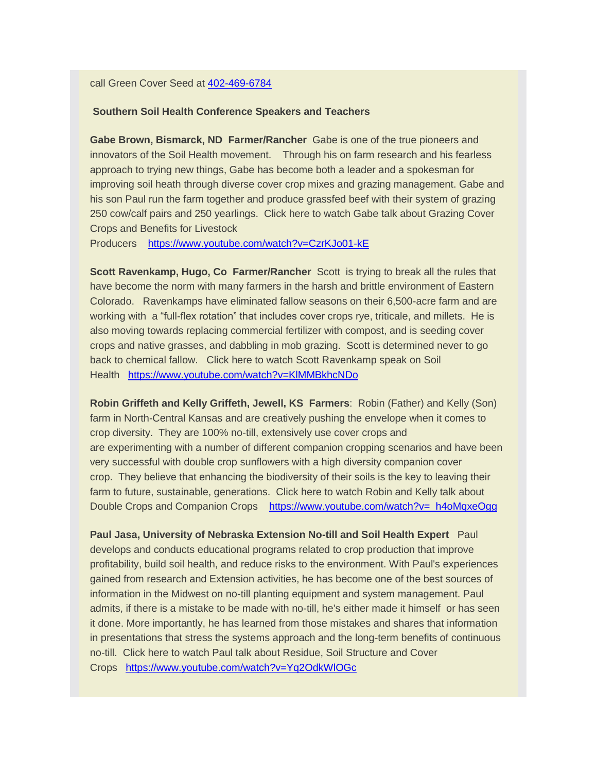#### call Green Cover Seed at [402-469-6784](tel:402-469-6784)

### **Southern Soil Health Conference Speakers and Teachers**

**Gabe Brown, Bismarck, ND Farmer/Rancher** Gabe is one of the true pioneers and innovators of the Soil Health movement. Through his on farm research and his fearless approach to trying new things, Gabe has become both a leader and a spokesman for improving soil heath through diverse cover crop mixes and grazing management. Gabe and his son Paul run the farm together and produce grassfed beef with their system of grazing 250 cow/calf pairs and 250 yearlings. Click here to watch Gabe talk about Grazing Cover Crops and Benefits for Livestock

Producers [https://www.youtube.com/watch?v=CzrKJo01-kE](http://greencoverseed.bmetrack.com/c/l?u=4A40092&e=5D4BE5&c=61D6C&t=0&l=3D278E4&email=xJ%2BFunQBAn4p%2BSZfqnRVyKMuTKEwIOm4NyIeD9VsXLU%3D)

**Scott Ravenkamp, Hugo, Co Farmer/Rancher** Scott is trying to break all the rules that have become the norm with many farmers in the harsh and brittle environment of Eastern Colorado. Ravenkamps have eliminated fallow seasons on their 6,500-acre farm and are working with a "full-flex rotation" that includes cover crops rye, triticale, and millets. He is also moving towards replacing commercial fertilizer with compost, and is seeding cover crops and native grasses, and dabbling in mob grazing. Scott is determined never to go back to chemical fallow. Click here to watch Scott Ravenkamp speak on Soil Health [https://www.youtube.com/watch?v=KlMMBkhcNDo](http://greencoverseed.bmetrack.com/c/l?u=4A40093&e=5D4BE5&c=61D6C&t=0&l=3D278E4&email=xJ%2BFunQBAn4p%2BSZfqnRVyKMuTKEwIOm4NyIeD9VsXLU%3D)

**Robin Griffeth and Kelly Griffeth, Jewell, KS Farmers**: Robin (Father) and Kelly (Son) farm in North-Central Kansas and are creatively pushing the envelope when it comes to crop diversity. They are 100% no-till, extensively use cover crops and are experimenting with a number of different companion cropping scenarios and have been very successful with double crop sunflowers with a high diversity companion cover crop. They believe that enhancing the biodiversity of their soils is the key to leaving their farm to future, sustainable, generations. Click here to watch Robin and Kelly talk about Double Crops and Companion Crops [https://www.youtube.com/watch?v=\\_h4oMqxeOgg](http://greencoverseed.bmetrack.com/c/l?u=4A40094&e=5D4BE5&c=61D6C&t=0&l=3D278E4&email=xJ%2BFunQBAn4p%2BSZfqnRVyKMuTKEwIOm4NyIeD9VsXLU%3D)

**Paul Jasa, University of Nebraska Extension No-till and Soil Health Expert** Paul develops and conducts educational programs related to crop production that improve profitability, build soil health, and reduce risks to the environment. With Paul's experiences gained from research and Extension activities, he has become one of the best sources of information in the Midwest on no-till planting equipment and system management. Paul admits, if there is a mistake to be made with no-till, he's either made it himself or has seen it done. More importantly, he has learned from those mistakes and shares that information in presentations that stress the systems approach and the long-term benefits of continuous no-till. Click here to watch Paul talk about Residue, Soil Structure and Cover Crops [https://www.youtube.com/watch?v=Yq2OdkWlOGc](http://greencoverseed.bmetrack.com/c/l?u=4A40095&e=5D4BE5&c=61D6C&t=0&l=3D278E4&email=xJ%2BFunQBAn4p%2BSZfqnRVyKMuTKEwIOm4NyIeD9VsXLU%3D)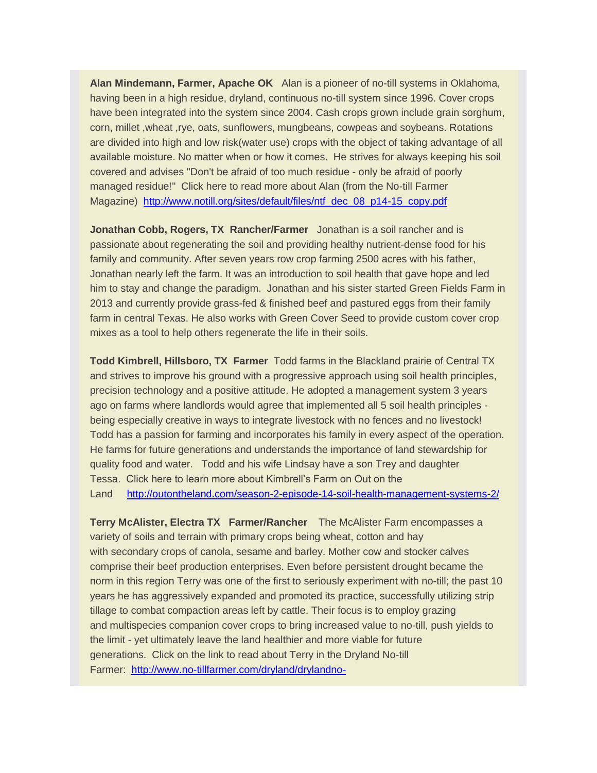**Alan Mindemann, Farmer, Apache OK** Alan is a pioneer of no-till systems in Oklahoma, having been in a high residue, dryland, continuous no-till system since 1996. Cover crops have been integrated into the system since 2004. Cash crops grown include grain sorghum, corn, millet ,wheat ,rye, oats, sunflowers, mungbeans, cowpeas and soybeans. Rotations are divided into high and low risk(water use) crops with the object of taking advantage of all available moisture. No matter when or how it comes. He strives for always keeping his soil covered and advises "Don't be afraid of too much residue - only be afraid of poorly managed residue!" Click here to read more about Alan (from the No-till Farmer Magazine) [http://www.notill.org/sites/default/files/ntf\\_dec\\_08\\_p14-15\\_copy.pdf](http://greencoverseed.bmetrack.com/c/l?u=4A40096&e=5D4BE5&c=61D6C&t=0&l=3D278E4&email=xJ%2BFunQBAn4p%2BSZfqnRVyKMuTKEwIOm4NyIeD9VsXLU%3D)

**Jonathan Cobb, Rogers, TX Rancher/Farmer** Jonathan is a soil rancher and is passionate about regenerating the soil and providing healthy nutrient-dense food for his family and community. After seven years row crop farming 2500 acres with his father, Jonathan nearly left the farm. It was an introduction to soil health that gave hope and led him to stay and change the paradigm. Jonathan and his sister started Green Fields Farm in 2013 and currently provide grass-fed & finished beef and pastured eggs from their family farm in central Texas. He also works with Green Cover Seed to provide custom cover crop mixes as a tool to help others regenerate the life in their soils.

**Todd Kimbrell, Hillsboro, TX Farmer** Todd farms in the Blackland prairie of Central TX and strives to improve his ground with a progressive approach using soil health principles, precision technology and a positive attitude. He adopted a management system 3 years ago on farms where landlords would agree that implemented all 5 soil health principles being especially creative in ways to integrate livestock with no fences and no livestock! Todd has a passion for farming and incorporates his family in every aspect of the operation. He farms for future generations and understands the importance of land stewardship for quality food and water. Todd and his wife Lindsay have a son Trey and daughter Tessa. Click here to learn more about Kimbrell's Farm on Out on the Land [http://outontheland.com/season-2-episode-14-soil-health-management-systems-2/](http://greencoverseed.bmetrack.com/c/l?u=4A40097&e=5D4BE5&c=61D6C&t=0&l=3D278E4&email=xJ%2BFunQBAn4p%2BSZfqnRVyKMuTKEwIOm4NyIeD9VsXLU%3D)

**Terry McAlister, Electra TX Farmer/Rancher** The McAlister Farm encompasses a variety of soils and terrain with primary crops being wheat, cotton and hay with secondary crops of canola, sesame and barley. Mother cow and stocker calves comprise their beef production enterprises. Even before persistent drought became the norm in this region Terry was one of the first to seriously experiment with no-till; the past 10 years he has aggressively expanded and promoted its practice, successfully utilizing strip tillage to combat compaction areas left by cattle. Their focus is to employ grazing and multispecies companion cover crops to bring increased value to no-till, push yields to the limit - yet ultimately leave the land healthier and more viable for future generations. Click on the link to read about Terry in the Dryland No-till Farmer: [http://www.no-tillfarmer.com/dryland/drylandno-](http://greencoverseed.bmetrack.com/c/l?u=4A40098&e=5D4BE5&c=61D6C&t=0&l=3D278E4&email=xJ%2BFunQBAn4p%2BSZfqnRVyKMuTKEwIOm4NyIeD9VsXLU%3D)